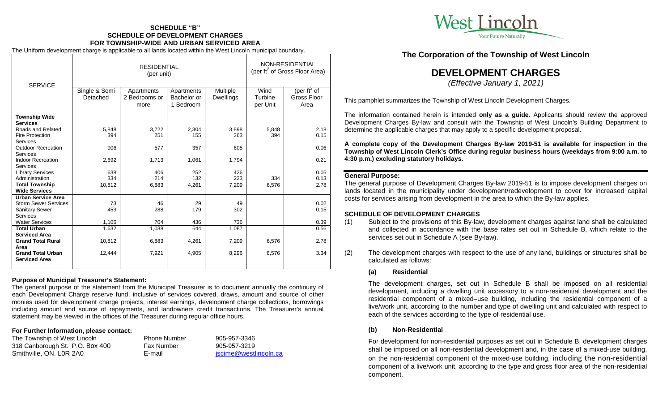# **SCHEDULE "B" SCHEDULE OF DEVELOPMENT CHARGES FOR TOWNSHIP-WIDE AND URBAN SERVICED AREA**

The Uniform development charge is applicable to all lands located within the West Lincoln municipal boundary.

|                             | <b>RESIDENTIAL</b><br>(per unit) |                                     |                                        |                              | NON-RESIDENTIAL<br>(per ft <sup>2</sup> of Gross Floor Area) |                                                |
|-----------------------------|----------------------------------|-------------------------------------|----------------------------------------|------------------------------|--------------------------------------------------------------|------------------------------------------------|
| <b>SERVICE</b>              | Single & Semi<br>Detached        | Apartments<br>2 Bedrooms or<br>more | Apartments<br>Bachelor or<br>1 Bedroom | Multiple<br><b>Dwellings</b> | Wind<br>Turbine<br>per Unit                                  | (per ft <sup>2</sup> of<br>Gross Floor<br>Area |
| <b>Township Wide</b>        |                                  |                                     |                                        |                              |                                                              |                                                |
| <b>Services</b>             |                                  |                                     |                                        |                              |                                                              |                                                |
| Roads and Related           | 5,848                            | 3,722                               | 2,304                                  | 3,898                        | 5,848                                                        | 2.18                                           |
| <b>Fire Protection</b>      | 394                              | 251                                 | 155                                    | 263                          | 394                                                          | 0.15                                           |
| <b>Services</b>             |                                  |                                     |                                        |                              |                                                              |                                                |
| <b>Outdoor Recreation</b>   | 906                              | 577                                 | 357                                    | 605                          |                                                              | 0.06                                           |
| Services                    |                                  |                                     |                                        |                              |                                                              |                                                |
| <b>Indoor Recreation</b>    | 2,692                            | 1,713                               | 1,061                                  | 1,794                        |                                                              | 0.21                                           |
| <b>Services</b>             |                                  |                                     |                                        |                              |                                                              |                                                |
| <b>Library Services</b>     | 638                              | 406                                 | 252                                    | 426                          |                                                              | 0.05                                           |
| Administration              | 334                              | 214                                 | 132                                    | 223                          | 334                                                          | 0.13                                           |
| <b>Total Township</b>       | 10,812                           | 6,883                               | 4,261                                  | 7,209                        | 6,576                                                        | 2.78                                           |
| <b>Wide Services</b>        |                                  |                                     |                                        |                              |                                                              |                                                |
| <b>Urban Service Area</b>   |                                  |                                     |                                        |                              |                                                              |                                                |
| <b>Storm Sewer Services</b> | 73                               | 46                                  | 29                                     | 49                           |                                                              | 0.02                                           |
| <b>Sanitary Sewer</b>       | 453                              | 288                                 | 179                                    | 302                          |                                                              | 0.15                                           |
| Services                    |                                  |                                     |                                        |                              |                                                              |                                                |
| <b>Water Services</b>       | 1,106                            | 704                                 | 436                                    | 736                          |                                                              | 0.39                                           |
| <b>Total Urban</b>          | 1.632                            | 1,038                               | 644                                    | 1,087                        |                                                              | 0.56                                           |
| <b>Serviced Area</b>        |                                  |                                     |                                        |                              |                                                              |                                                |
| <b>Grand Total Rural</b>    | 10,812                           | 6,883                               | 4,261                                  | 7,209                        | 6,576                                                        | 2.78                                           |
| Area                        |                                  |                                     |                                        |                              |                                                              |                                                |
| <b>Grand Total Urban</b>    | 12,444                           | 7,921                               | 4,905                                  | 8,296                        | 6,576                                                        | 3.34                                           |
| <b>Serviced Area</b>        |                                  |                                     |                                        |                              |                                                              |                                                |
|                             |                                  |                                     |                                        |                              |                                                              |                                                |

#### **Purpose of Municipal Treasurer's Statement:**

The general purpose of the statement from the Municipal Treasurer is to document annually the continuity of each Development Charge reserve fund, inclusive of services covered, draws, amount and source of other monies used for development charge projects, interest earnings, development charge collections, borrowings including amount and source of repayments, and landowners credit transactions. The Treasurer's annual statement may be viewed in the offices of the Treasurer during regular office hours.

#### **For Further Information, please contact:**

| The Township of West Lincoln    | <b>Phone Number</b> | 905-957-3346          |
|---------------------------------|---------------------|-----------------------|
| 318 Canborough St. P.O. Box 400 | <b>Fax Number</b>   | 905-957-3219          |
| Smithville, ON. L0R 2A0         | E-mail              | jscime@westlincoln.ca |



**The Corporation of the Township of West Lincoln**

# **DEVELOPMENT CHARGES**

*(Effective January 1, 2021)*

This pamphlet summarizes the Township of West Lincoln Development Charges.

The information contained herein is intended **only as a guide**. Applicants should review the approved Development Charges By-law and consult with the Township of West Lincoln's Building Department to determine the applicable charges that may apply to a specific development proposal.

**A complete copy of the Development Charges By-law 2019-51 is available for inspection in the Township of West Lincoln Clerk's Office during regular business hours (weekdays from 9:00 a.m. to 4:30 p.m.) excluding statutory holidays.**

#### **General Purpose:**

The general purpose of Development Charges By-law 2019-51 is to impose development charges on lands located in the municipality under development/redevelopment to cover for increased capital costs for services arising from development in the area to which the By-law applies.

#### **SCHEDULE OF DEVELOPMENT CHARGES**

- (1) Subject to the provisions of this By-law, development charges against land shall be calculated and collected in accordance with the base rates set out in Schedule B, which relate to the services set out in Schedule A (see By-law).
- (2) The development charges with respect to the use of any land, buildings or structures shall be calculated as follows:

#### **(a) Residential**

The development charges, set out in Schedule B shall be imposed on all residential development, including a dwelling unit accessory to a non-residential development and the residential component of a mixed–use building, including the residential component of a live/work unit, according to the number and type of dwelling unit and calculated with respect to each of the services according to the type of residential use.

#### **(b) Non-Residential**

For development for non-residential purposes as set out in Schedule B, development charges shall be imposed on all non-residential development and, in the case of a mixed-use building, on the non-residential component of the mixed-use building, including the non-residential component of a live/work unit, according to the type and gross floor area of the non-residential component.